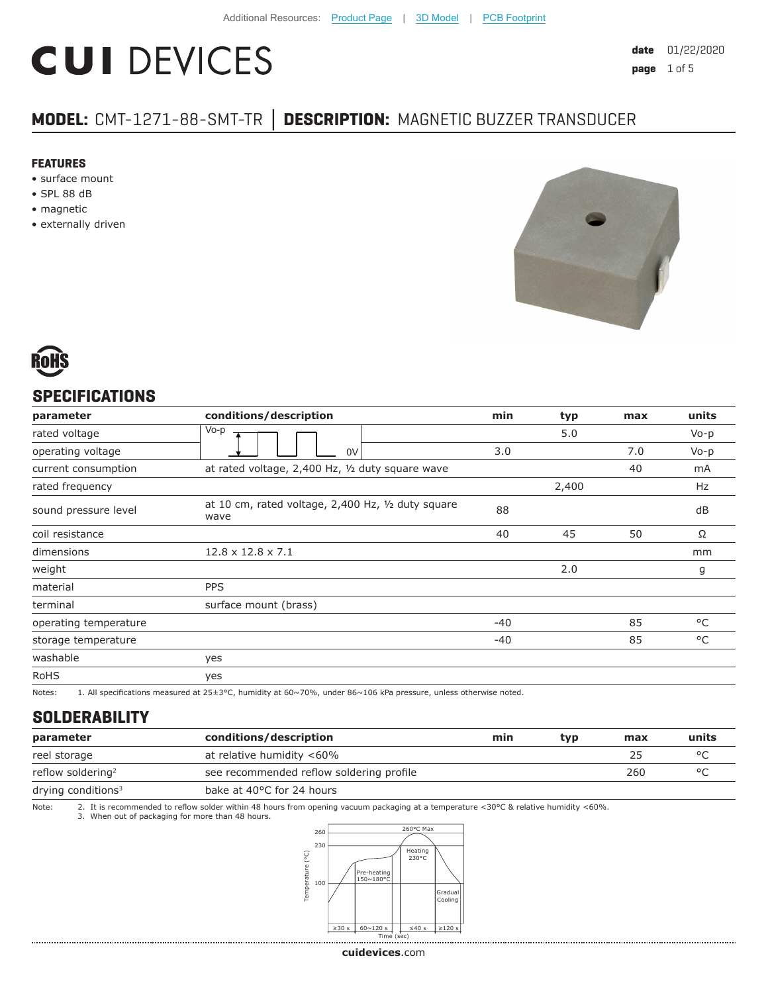# **CUI DEVICES**

# **MODEL:** CMT-1271-88-SMT-TR **│ DESCRIPTION:** MAGNETIC BUZZER TRANSDUCER

#### **FEATURES**

- surface mount
- SPL 88 dB
- magnetic
- externally driven





#### **SPECIFICATIONS**

| parameter             | conditions/description                                                                                                                                                                                                                                                                                                                                                               | min                                                                                                                                                                                                                               | typ   | max | units  |
|-----------------------|--------------------------------------------------------------------------------------------------------------------------------------------------------------------------------------------------------------------------------------------------------------------------------------------------------------------------------------------------------------------------------------|-----------------------------------------------------------------------------------------------------------------------------------------------------------------------------------------------------------------------------------|-------|-----|--------|
| rated voltage         | $V_0-p$                                                                                                                                                                                                                                                                                                                                                                              |                                                                                                                                                                                                                                   | 5.0   |     | $Vo-p$ |
| operating voltage     | 0V                                                                                                                                                                                                                                                                                                                                                                                   | 3.0                                                                                                                                                                                                                               |       | 7.0 | $Vo-p$ |
| current consumption   | at rated voltage, 2,400 Hz, 1/2 duty square wave                                                                                                                                                                                                                                                                                                                                     |                                                                                                                                                                                                                                   |       | 40  | mA     |
| rated frequency       |                                                                                                                                                                                                                                                                                                                                                                                      |                                                                                                                                                                                                                                   | 2,400 |     | Hz     |
| sound pressure level  | at 10 cm, rated voltage, 2,400 Hz, 1/2 duty square<br>wave                                                                                                                                                                                                                                                                                                                           | 88                                                                                                                                                                                                                                |       |     | dB     |
| coil resistance       |                                                                                                                                                                                                                                                                                                                                                                                      | 40                                                                                                                                                                                                                                | 45    | 50  | Ω      |
| dimensions            | $12.8 \times 12.8 \times 7.1$                                                                                                                                                                                                                                                                                                                                                        |                                                                                                                                                                                                                                   |       |     | mm     |
| weight                |                                                                                                                                                                                                                                                                                                                                                                                      |                                                                                                                                                                                                                                   | 2.0   |     | g      |
| material              | <b>PPS</b>                                                                                                                                                                                                                                                                                                                                                                           |                                                                                                                                                                                                                                   |       |     |        |
| terminal              | surface mount (brass)                                                                                                                                                                                                                                                                                                                                                                |                                                                                                                                                                                                                                   |       |     |        |
| operating temperature |                                                                                                                                                                                                                                                                                                                                                                                      | $-40$                                                                                                                                                                                                                             |       | 85  | °C     |
| storage temperature   |                                                                                                                                                                                                                                                                                                                                                                                      | -40                                                                                                                                                                                                                               |       | 85  | °C     |
| washable              | yes                                                                                                                                                                                                                                                                                                                                                                                  |                                                                                                                                                                                                                                   |       |     |        |
| <b>RoHS</b>           | yes                                                                                                                                                                                                                                                                                                                                                                                  |                                                                                                                                                                                                                                   |       |     |        |
| $\cdots$              | $\overline{1}$ $\overline{1}$ $\overline{2}$ $\overline{3}$ $\overline{4}$ $\overline{1}$ $\overline{2}$ $\overline{1}$ $\overline{1}$ $\overline{1}$ $\overline{1}$ $\overline{1}$ $\overline{1}$ $\overline{1}$ $\overline{1}$ $\overline{1}$ $\overline{1}$ $\overline{1}$ $\overline{1}$ $\overline{1}$ $\overline{1}$ $\overline{1}$ $\overline{1}$ $\overline{1}$ $\overline{$ | $\mathbf{r}$ . The contract of the contract of the contract of the contract of the contract of the contract of the contract of the contract of the contract of the contract of the contract of the contract of the contract of th |       |     |        |

Notes: 1. All specifications measured at 25±3°C, humidity at 60~70%, under 86~106 kPa pressure, unless otherwise noted.

#### **SOLDERABILITY**

| parameter                     | conditions/description                   | min | tvp | max | units |
|-------------------------------|------------------------------------------|-----|-----|-----|-------|
| reel storage                  | at relative humidity <60%                |     |     | 25  |       |
| reflow soldering <sup>2</sup> | see recommended reflow soldering profile |     |     | 260 |       |
| drying conditions $3$         | bake at 40°C for 24 hours                |     |     |     |       |

Note: 2. It is recommended to reflow solder within 48 hours from opening vacuum packaging at a temperature <30°C & relative humidity <60%.

3. When out of packaging for more than 48 hours.

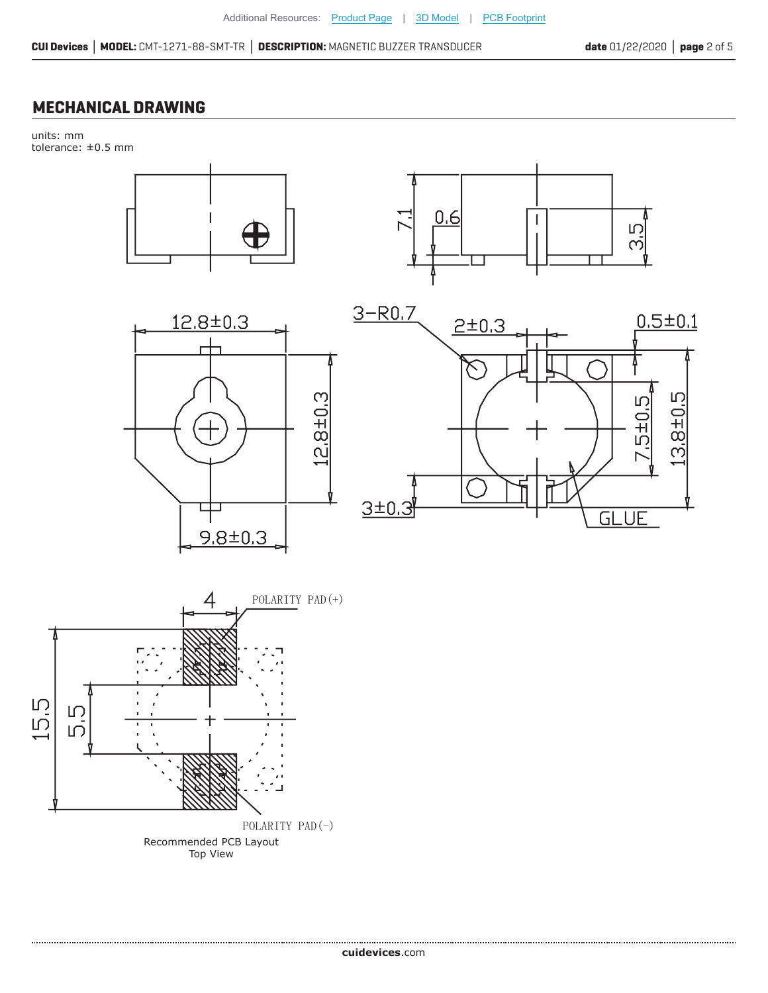### **MECHANICAL DRAWING**

units: mm tolerance: ±0.5 mm









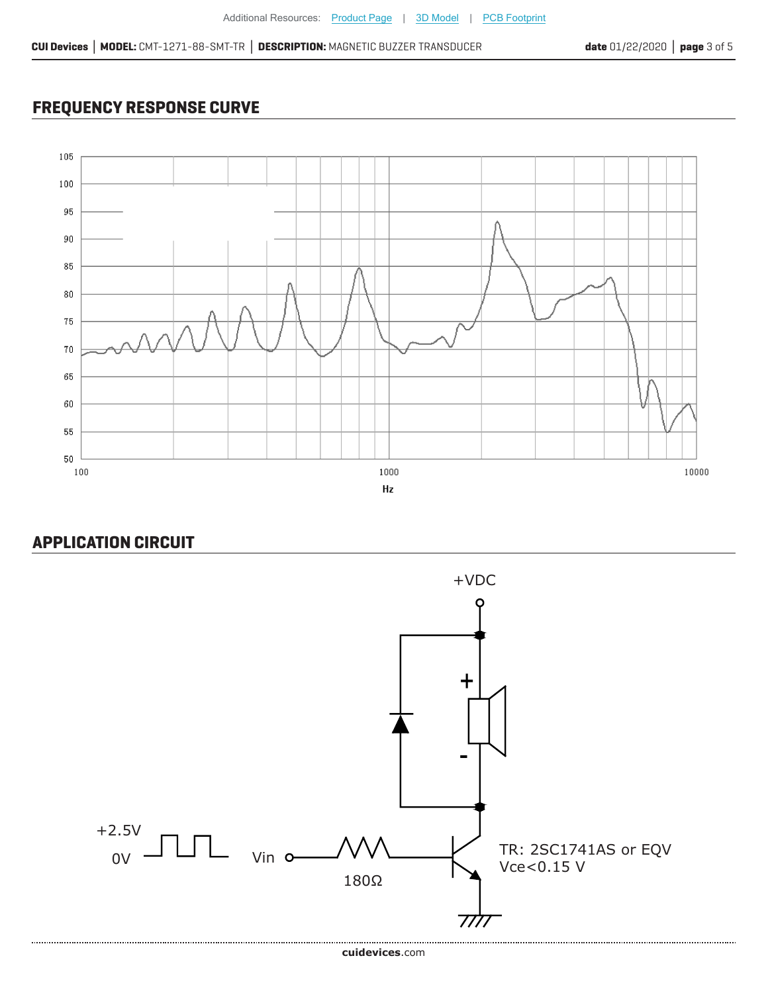## **FREQUENCY RESPONSE CURVE**



### **APPLICATION CIRCUIT**

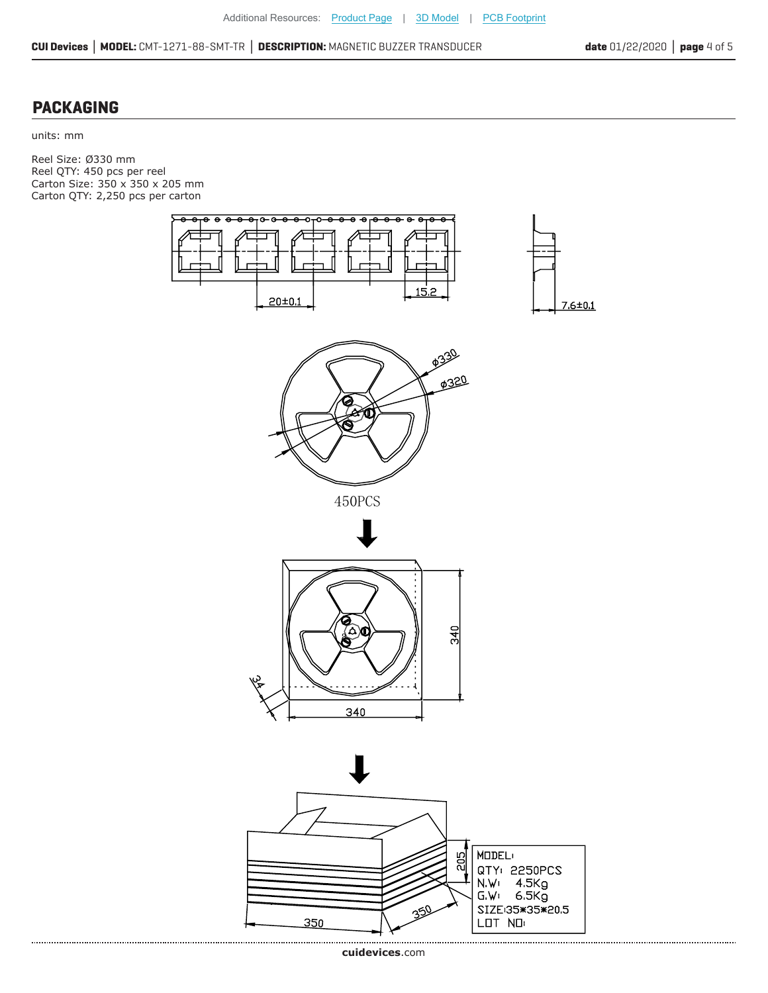**CUI Devices │ MODEL:** CMT-1271-88-SMT-TR **│ DESCRIPTION:** MAGNETIC BUZZER TRANSDUCER **date** 01/22/2020 **│ page** 4 of 5

#### **PACKAGING**

units: mm

Reel Size: Ø330 mm Reel QTY: 450 pcs per reel Carton Size: 350 x 350 x 205 mm Carton QTY: 2,250 pcs per carton

> e ٠